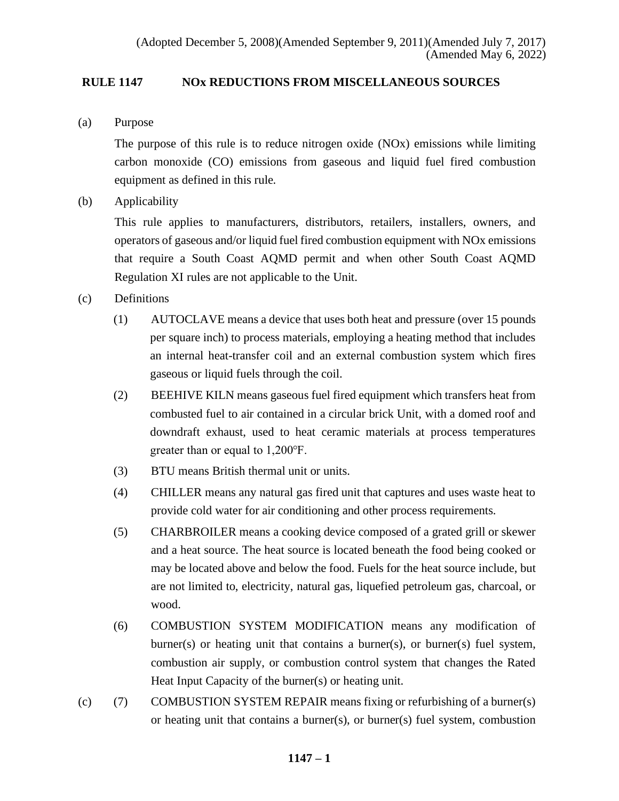# **RULE 1147 NOx REDUCTIONS FROM MISCELLANEOUS SOURCES**

(a) Purpose

The purpose of this rule is to reduce nitrogen oxide (NOx) emissions while limiting carbon monoxide (CO) emissions from gaseous and liquid fuel fired combustion equipment as defined in this rule.

(b) Applicability

This rule applies to manufacturers, distributors, retailers, installers, owners, and operators of gaseous and/or liquid fuel fired combustion equipment with NOx emissions that require a South Coast AQMD permit and when other South Coast AQMD Regulation XI rules are not applicable to the Unit.

# (c) Definitions

- (1) AUTOCLAVE means a device that uses both heat and pressure (over 15 pounds per square inch) to process materials, employing a heating method that includes an internal heat-transfer coil and an external combustion system which fires gaseous or liquid fuels through the coil.
- (2) BEEHIVE KILN means gaseous fuel fired equipment which transfers heat from combusted fuel to air contained in a circular brick Unit, with a domed roof and downdraft exhaust, used to heat ceramic materials at process temperatures greater than or equal to 1,200℉.
- (3) BTU means British thermal unit or units.
- (4) CHILLER means any natural gas fired unit that captures and uses waste heat to provide cold water for air conditioning and other process requirements.
- (5) CHARBROILER means a cooking device composed of a grated grill or skewer and a heat source. The heat source is located beneath the food being cooked or may be located above and below the food. Fuels for the heat source include, but are not limited to, electricity, natural gas, liquefied petroleum gas, charcoal, or wood.
- (6) COMBUSTION SYSTEM MODIFICATION means any modification of burner(s) or heating unit that contains a burner(s), or burner(s) fuel system, combustion air supply, or combustion control system that changes the Rated Heat Input Capacity of the burner(s) or heating unit.
- (c) (7) COMBUSTION SYSTEM REPAIR means fixing or refurbishing of a burner(s) or heating unit that contains a burner(s), or burner(s) fuel system, combustion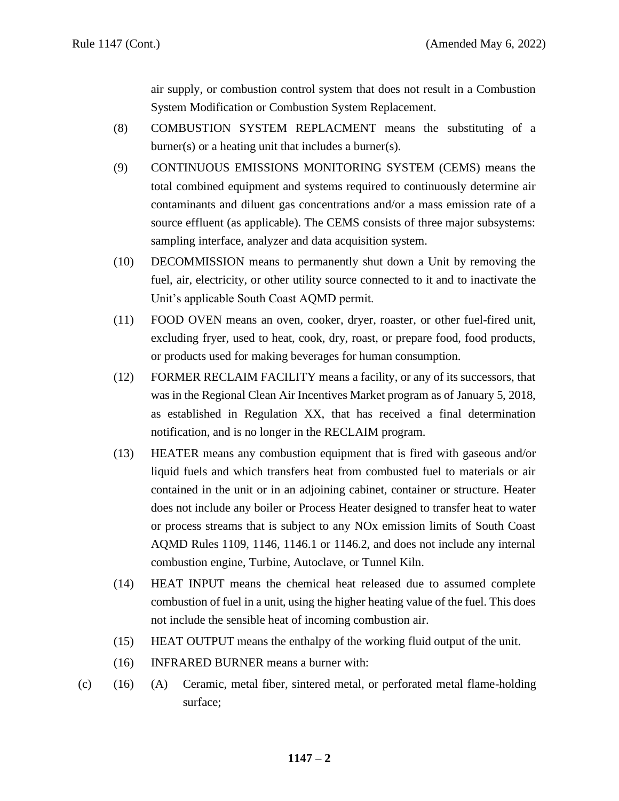air supply, or combustion control system that does not result in a Combustion System Modification or Combustion System Replacement.

- (8) COMBUSTION SYSTEM REPLACMENT means the substituting of a burner(s) or a heating unit that includes a burner(s).
- (9) CONTINUOUS EMISSIONS MONITORING SYSTEM (CEMS) means the total combined equipment and systems required to continuously determine air contaminants and diluent gas concentrations and/or a mass emission rate of a source effluent (as applicable). The CEMS consists of three major subsystems: sampling interface, analyzer and data acquisition system.
- (10) DECOMMISSION means to permanently shut down a Unit by removing the fuel, air, electricity, or other utility source connected to it and to inactivate the Unit's applicable South Coast AQMD permit.
- (11) FOOD OVEN means an oven, cooker, dryer, roaster, or other fuel-fired unit, excluding fryer, used to heat, cook, dry, roast, or prepare food, food products, or products used for making beverages for human consumption.
- (12) FORMER RECLAIM FACILITY means a facility, or any of its successors, that was in the Regional Clean Air Incentives Market program as of January 5, 2018, as established in Regulation XX, that has received a final determination notification, and is no longer in the RECLAIM program.
- (13) HEATER means any combustion equipment that is fired with gaseous and/or liquid fuels and which transfers heat from combusted fuel to materials or air contained in the unit or in an adjoining cabinet, container or structure. Heater does not include any boiler or Process Heater designed to transfer heat to water or process streams that is subject to any NOx emission limits of South Coast AQMD Rules 1109, 1146, 1146.1 or 1146.2, and does not include any internal combustion engine, Turbine, Autoclave, or Tunnel Kiln.
- (14) HEAT INPUT means the chemical heat released due to assumed complete combustion of fuel in a unit, using the higher heating value of the fuel. This does not include the sensible heat of incoming combustion air.
- (15) HEAT OUTPUT means the enthalpy of the working fluid output of the unit.
- (16) INFRARED BURNER means a burner with:
- (c) (16) (A) Ceramic, metal fiber, sintered metal, or perforated metal flame-holding surface;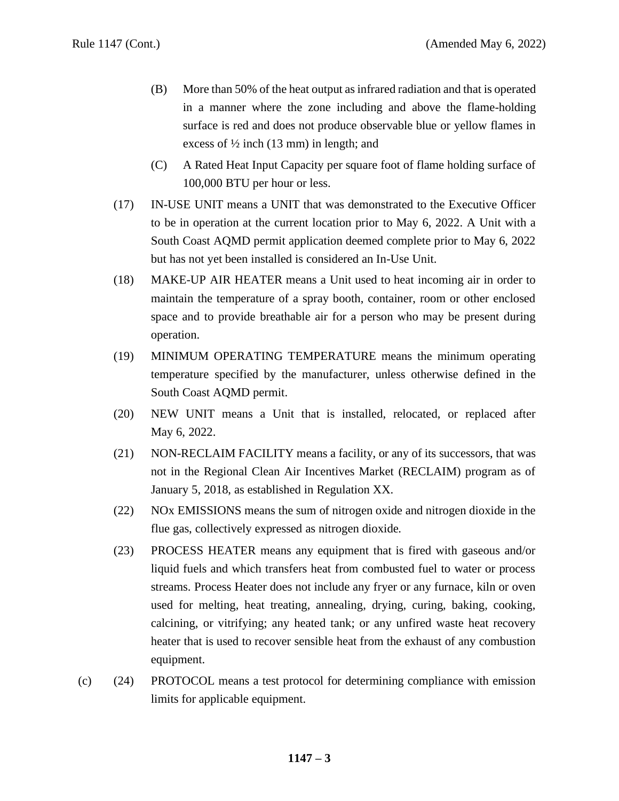- (B) More than 50% of the heat output as infrared radiation and that is operated in a manner where the zone including and above the flame-holding surface is red and does not produce observable blue or yellow flames in excess of  $\frac{1}{2}$  inch (13 mm) in length; and
- (C) A Rated Heat Input Capacity per square foot of flame holding surface of 100,000 BTU per hour or less.
- (17) IN-USE UNIT means a UNIT that was demonstrated to the Executive Officer to be in operation at the current location prior to May 6, 2022. A Unit with a South Coast AQMD permit application deemed complete prior to May 6, 2022 but has not yet been installed is considered an In-Use Unit.
- (18) MAKE-UP AIR HEATER means a Unit used to heat incoming air in order to maintain the temperature of a spray booth, container, room or other enclosed space and to provide breathable air for a person who may be present during operation.
- (19) MINIMUM OPERATING TEMPERATURE means the minimum operating temperature specified by the manufacturer, unless otherwise defined in the South Coast AQMD permit.
- (20) NEW UNIT means a Unit that is installed, relocated, or replaced after May 6, 2022.
- (21) NON-RECLAIM FACILITY means a facility, or any of its successors, that was not in the Regional Clean Air Incentives Market (RECLAIM) program as of January 5, 2018, as established in Regulation XX.
- (22) NOx EMISSIONS means the sum of nitrogen oxide and nitrogen dioxide in the flue gas, collectively expressed as nitrogen dioxide.
- (23) PROCESS HEATER means any equipment that is fired with gaseous and/or liquid fuels and which transfers heat from combusted fuel to water or process streams. Process Heater does not include any fryer or any furnace, kiln or oven used for melting, heat treating, annealing, drying, curing, baking, cooking, calcining, or vitrifying; any heated tank; or any unfired waste heat recovery heater that is used to recover sensible heat from the exhaust of any combustion equipment.
- (c) (24) PROTOCOL means a test protocol for determining compliance with emission limits for applicable equipment.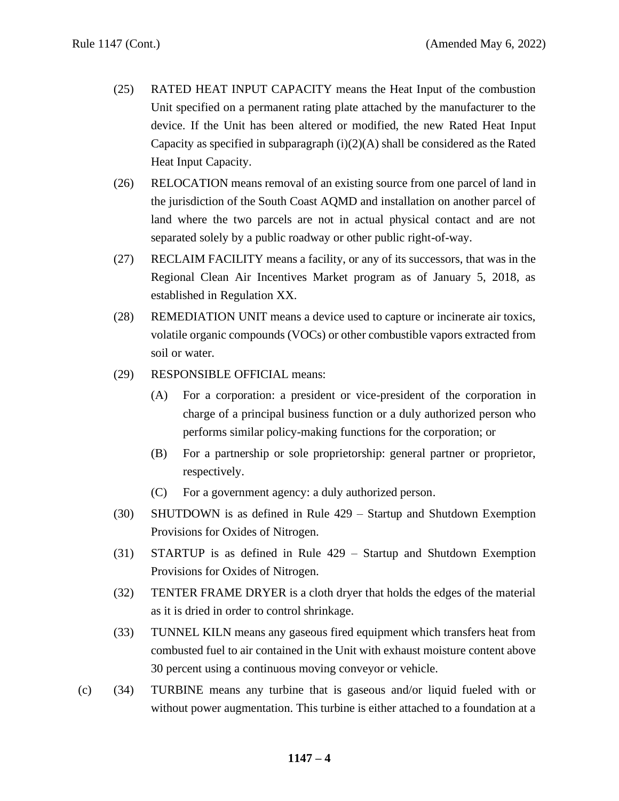- (25) RATED HEAT INPUT CAPACITY means the Heat Input of the combustion Unit specified on a permanent rating plate attached by the manufacturer to the device. If the Unit has been altered or modified, the new Rated Heat Input Capacity as specified in subparagraph  $(i)(2)(A)$  shall be considered as the Rated Heat Input Capacity.
- (26) RELOCATION means removal of an existing source from one parcel of land in the jurisdiction of the South Coast AQMD and installation on another parcel of land where the two parcels are not in actual physical contact and are not separated solely by a public roadway or other public right-of-way.
- (27) RECLAIM FACILITY means a facility, or any of its successors, that was in the Regional Clean Air Incentives Market program as of January 5, 2018, as established in Regulation XX.
- (28) REMEDIATION UNIT means a device used to capture or incinerate air toxics, volatile organic compounds (VOCs) or other combustible vapors extracted from soil or water.
- (29) RESPONSIBLE OFFICIAL means:
	- (A) For a corporation: a president or vice-president of the corporation in charge of a principal business function or a duly authorized person who performs similar policy-making functions for the corporation; or
	- (B) For a partnership or sole proprietorship: general partner or proprietor, respectively.
	- (C) For a government agency: a duly authorized person.
- (30) SHUTDOWN is as defined in Rule 429 Startup and Shutdown Exemption Provisions for Oxides of Nitrogen.
- (31) STARTUP is as defined in Rule 429 Startup and Shutdown Exemption Provisions for Oxides of Nitrogen.
- (32) TENTER FRAME DRYER is a cloth dryer that holds the edges of the material as it is dried in order to control shrinkage.
- (33) TUNNEL KILN means any gaseous fired equipment which transfers heat from combusted fuel to air contained in the Unit with exhaust moisture content above 30 percent using a continuous moving conveyor or vehicle.
- (c) (34) TURBINE means any turbine that is gaseous and/or liquid fueled with or without power augmentation. This turbine is either attached to a foundation at a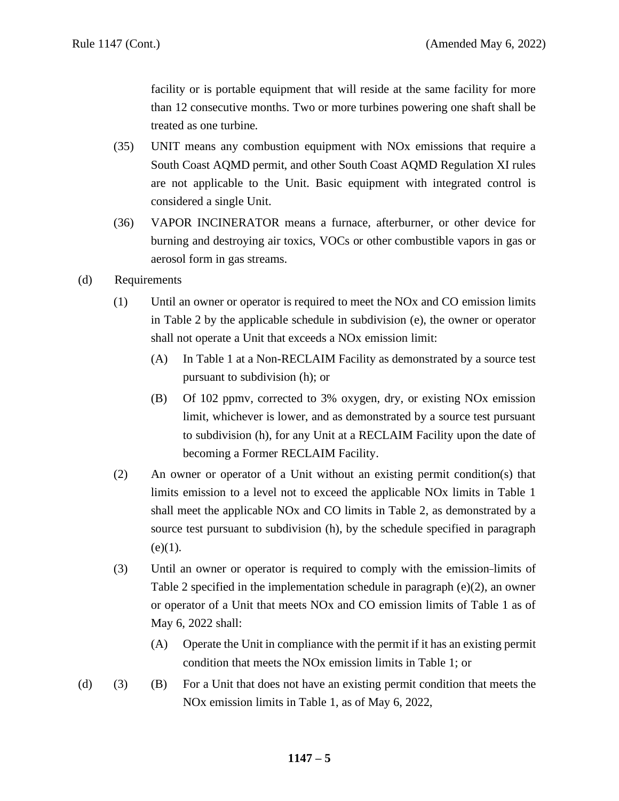facility or is portable equipment that will reside at the same facility for more than 12 consecutive months. Two or more turbines powering one shaft shall be treated as one turbine.

- (35) UNIT means any combustion equipment with NOx emissions that require a South Coast AQMD permit, and other South Coast AQMD Regulation XI rules are not applicable to the Unit. Basic equipment with integrated control is considered a single Unit.
- (36) VAPOR INCINERATOR means a furnace, afterburner, or other device for burning and destroying air toxics, VOCs or other combustible vapors in gas or aerosol form in gas streams.
- (d) Requirements
	- (1) Until an owner or operator is required to meet the NOx and CO emission limits in Table 2 by the applicable schedule in subdivision (e), the owner or operator shall not operate a Unit that exceeds a NOx emission limit:
		- (A) In Table 1 at a Non-RECLAIM Facility as demonstrated by a source test pursuant to subdivision (h); or
		- (B) Of 102 ppmv, corrected to 3% oxygen, dry, or existing NOx emission limit, whichever is lower, and as demonstrated by a source test pursuant to subdivision (h), for any Unit at a RECLAIM Facility upon the date of becoming a Former RECLAIM Facility.
	- (2) An owner or operator of a Unit without an existing permit condition(s) that limits emission to a level not to exceed the applicable NOx limits in Table 1 shall meet the applicable NOx and CO limits in Table 2, as demonstrated by a source test pursuant to subdivision (h), by the schedule specified in paragraph  $(e)(1)$ .
	- (3) Until an owner or operator is required to comply with the emission limits of Table 2 specified in the implementation schedule in paragraph  $(e)(2)$ , an owner or operator of a Unit that meets NOx and CO emission limits of Table 1 as of May 6, 2022 shall:
		- (A) Operate the Unit in compliance with the permit if it has an existing permit condition that meets the NOx emission limits in Table 1; or
- (d) (3) (B) For a Unit that does not have an existing permit condition that meets the NOx emission limits in Table 1, as of May 6, 2022,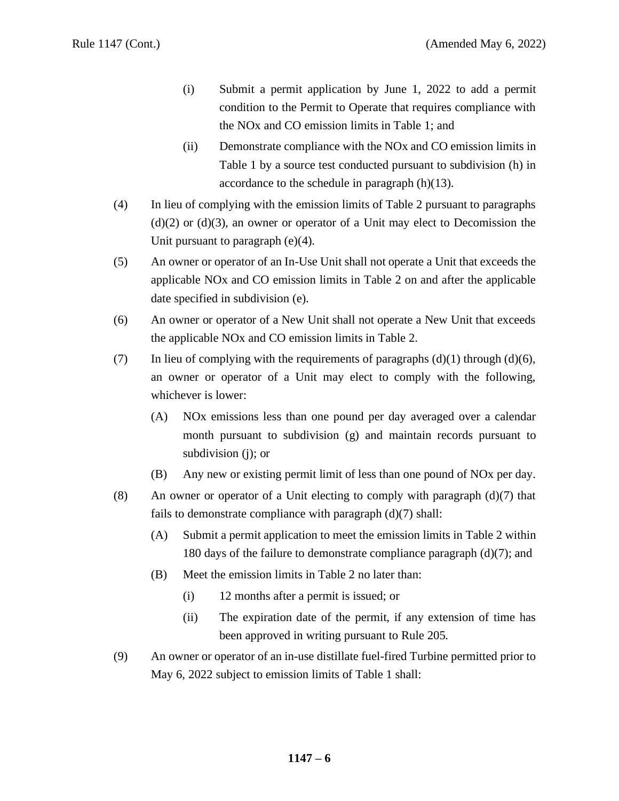- (i) Submit a permit application by June 1, 2022 to add a permit condition to the Permit to Operate that requires compliance with the NOx and CO emission limits in Table 1; and
- (ii) Demonstrate compliance with the NOx and CO emission limits in Table 1 by a source test conducted pursuant to subdivision (h) in accordance to the schedule in paragraph (h)(13).
- (4) In lieu of complying with the emission limits of Table 2 pursuant to paragraphs  $(d)(2)$  or  $(d)(3)$ , an owner or operator of a Unit may elect to Decomission the Unit pursuant to paragraph (e)(4).
- (5) An owner or operator of an In-Use Unit shall not operate a Unit that exceeds the applicable NOx and CO emission limits in Table 2 on and after the applicable date specified in subdivision (e).
- (6) An owner or operator of a New Unit shall not operate a New Unit that exceeds the applicable NOx and CO emission limits in Table 2.
- (7) In lieu of complying with the requirements of paragraphs  $(d)(1)$  through  $(d)(6)$ , an owner or operator of a Unit may elect to comply with the following, whichever is lower:
	- (A) NOx emissions less than one pound per day averaged over a calendar month pursuant to subdivision (g) and maintain records pursuant to subdivision (j); or
	- (B) Any new or existing permit limit of less than one pound of NOx per day.
- (8) An owner or operator of a Unit electing to comply with paragraph  $(d)(7)$  that fails to demonstrate compliance with paragraph (d)(7) shall:
	- (A) Submit a permit application to meet the emission limits in Table 2 within 180 days of the failure to demonstrate compliance paragraph (d)(7); and
	- (B) Meet the emission limits in Table 2 no later than:
		- (i) 12 months after a permit is issued; or
		- (ii) The expiration date of the permit, if any extension of time has been approved in writing pursuant to Rule 205.
- (9) An owner or operator of an in-use distillate fuel-fired Turbine permitted prior to May 6, 2022 subject to emission limits of Table 1 shall: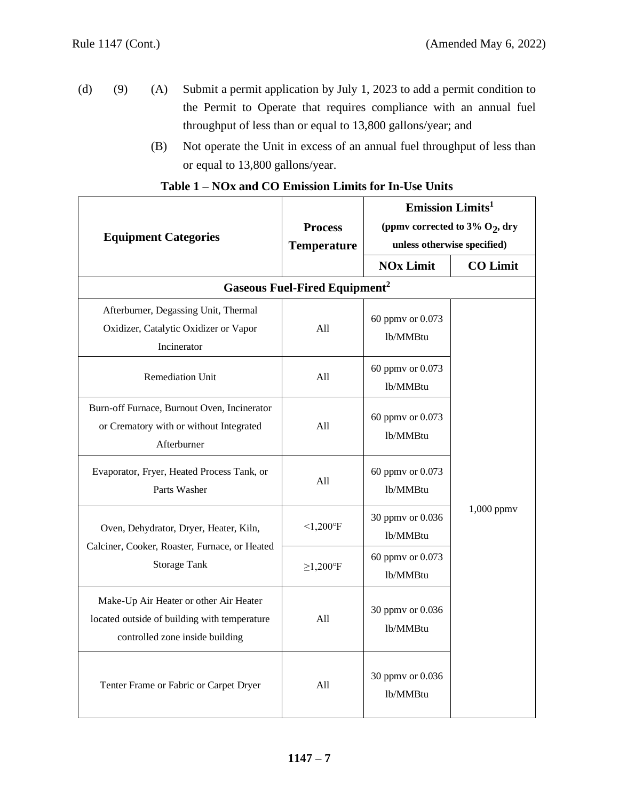- (d) (9) (A) Submit a permit application by July 1, 2023 to add a permit condition to the Permit to Operate that requires compliance with an annual fuel throughput of less than or equal to 13,800 gallons/year; and
	- (B) Not operate the Unit in excess of an annual fuel throughput of less than or equal to 13,800 gallons/year.

| <b>Equipment Categories</b>                                                                                               | <b>Process</b>                                  | <b>Emission Limits<sup>1</sup></b><br>(ppmv corrected to 3% $O_2$ , dry |                 |  |
|---------------------------------------------------------------------------------------------------------------------------|-------------------------------------------------|-------------------------------------------------------------------------|-----------------|--|
|                                                                                                                           | <b>Temperature</b>                              | unless otherwise specified)                                             |                 |  |
|                                                                                                                           |                                                 | <b>NOx Limit</b>                                                        | <b>CO Limit</b> |  |
|                                                                                                                           | <b>Gaseous Fuel-Fired Equipment<sup>2</sup></b> |                                                                         |                 |  |
| Afterburner, Degassing Unit, Thermal                                                                                      |                                                 |                                                                         |                 |  |
| Oxidizer, Catalytic Oxidizer or Vapor                                                                                     | All                                             | 60 ppmv or 0.073<br>lb/MMBtu                                            |                 |  |
| Incinerator                                                                                                               |                                                 |                                                                         |                 |  |
| <b>Remediation Unit</b>                                                                                                   | All                                             | 60 ppmv or 0.073                                                        |                 |  |
|                                                                                                                           |                                                 | lb/MMBtu                                                                |                 |  |
| Burn-off Furnace, Burnout Oven, Incinerator                                                                               |                                                 | 60 ppmv or 0.073                                                        |                 |  |
| or Crematory with or without Integrated<br>Afterburner                                                                    | All                                             | lb/MMBtu                                                                |                 |  |
| Evaporator, Fryer, Heated Process Tank, or<br>Parts Washer                                                                | All                                             | 60 ppmv or 0.073<br>lb/MMBtu                                            |                 |  |
| Oven, Dehydrator, Dryer, Heater, Kiln,                                                                                    | $< 1,200$ °F                                    | 30 ppmv or 0.036<br>lb/MMBtu                                            | $1,000$ ppm $v$ |  |
| Calciner, Cooker, Roaster, Furnace, or Heated<br><b>Storage Tank</b>                                                      | $\geq$ 1,200°F                                  | 60 ppmv or 0.073<br>lb/MMBtu                                            |                 |  |
| Make-Up Air Heater or other Air Heater<br>located outside of building with temperature<br>controlled zone inside building | All                                             | 30 ppmv or 0.036<br>lb/MMBtu                                            |                 |  |
| Tenter Frame or Fabric or Carpet Dryer                                                                                    | All                                             | 30 ppmv or 0.036<br>lb/MMBtu                                            |                 |  |

# **Table 1 – NOx and CO Emission Limits for In-Use Units**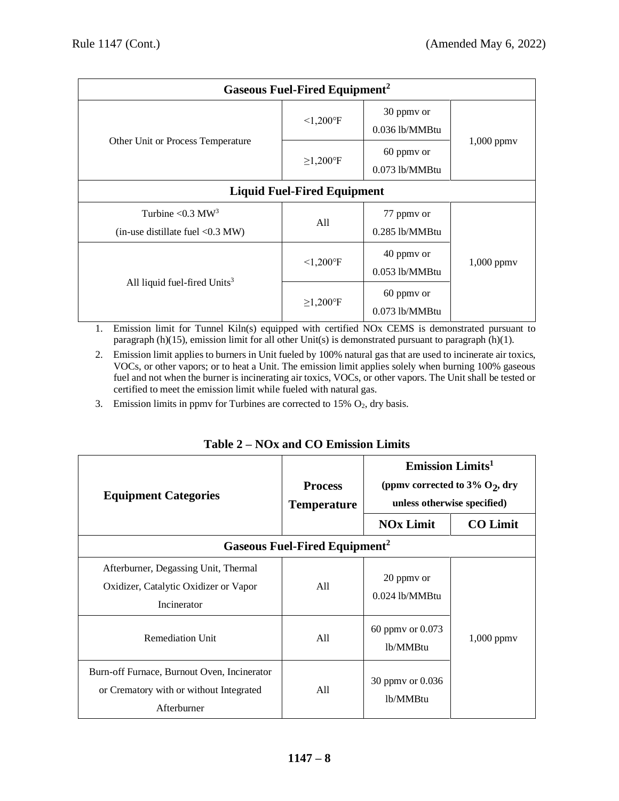| <b>Gaseous Fuel-Fired Equipment<sup>2</sup></b>                           |                          |                                |                 |  |
|---------------------------------------------------------------------------|--------------------------|--------------------------------|-----------------|--|
|                                                                           | $< 1,200$ °F             | 30 ppmy or<br>$0.036$ lb/MMBtu | $1,000$ ppm $v$ |  |
| Other Unit or Process Temperature                                         | $\geq$ 1,200°F           | 60 ppmy or<br>$0.073$ lb/MMBtu |                 |  |
| <b>Liquid Fuel-Fired Equipment</b>                                        |                          |                                |                 |  |
| Turbine $\leq 0.3$ MW <sup>3</sup><br>(in-use distillate fuel $< 0.3$ MW) | All                      | 77 ppmy or<br>$0.285$ lb/MMBtu |                 |  |
| All liquid fuel-fired Units <sup>3</sup>                                  | $< 1,200$ <sup>o</sup> F | 40 ppmy or<br>0.053 lb/MMBtu   | $1,000$ ppm $v$ |  |
|                                                                           | $\geq$ 1,200°F           | 60 ppmy or<br>$0.073$ lb/MMBtu |                 |  |

1. Emission limit for Tunnel Kiln(s) equipped with certified NOx CEMS is demonstrated pursuant to paragraph (h)(15), emission limit for all other Unit(s) is demonstrated pursuant to paragraph (h)(1).

- 2. Emission limit applies to burners in Unit fueled by 100% natural gas that are used to incinerate air toxics, VOCs, or other vapors; or to heat a Unit. The emission limit applies solely when burning 100% gaseous fuel and not when the burner is incinerating air toxics, VOCs, or other vapors. The Unit shall be tested or certified to meet the emission limit while fueled with natural gas.
- 3. Emission limits in ppmv for Turbines are corrected to  $15\%$   $O_2$ , dry basis.

| <b>Equipment Categories</b>                                                                           | <b>Process</b><br><b>Temperature</b>            | <b>Emission Limits</b> <sup>1</sup><br>(ppmv corrected to 3% $O_2$ , dry<br>unless otherwise specified) |                 |
|-------------------------------------------------------------------------------------------------------|-------------------------------------------------|---------------------------------------------------------------------------------------------------------|-----------------|
|                                                                                                       |                                                 | <b>NOx Limit</b>                                                                                        | <b>CO Limit</b> |
|                                                                                                       | <b>Gaseous Fuel-Fired Equipment<sup>2</sup></b> |                                                                                                         |                 |
| Afterburner, Degassing Unit, Thermal<br>Oxidizer, Catalytic Oxidizer or Vapor<br>Incinerator          | All                                             | 20 ppmy or<br>$0.024$ lb/MMBtu                                                                          |                 |
| <b>Remediation Unit</b>                                                                               | All                                             | 60 ppmv or 0.073<br>lb/MMBtu                                                                            | $1,000$ ppm $v$ |
| Burn-off Furnace, Burnout Oven, Incinerator<br>or Crematory with or without Integrated<br>Afterburner | All                                             | 30 ppmy or 0.036<br>lb/MMBtu                                                                            |                 |

**Table 2 – NOx and CO Emission Limits**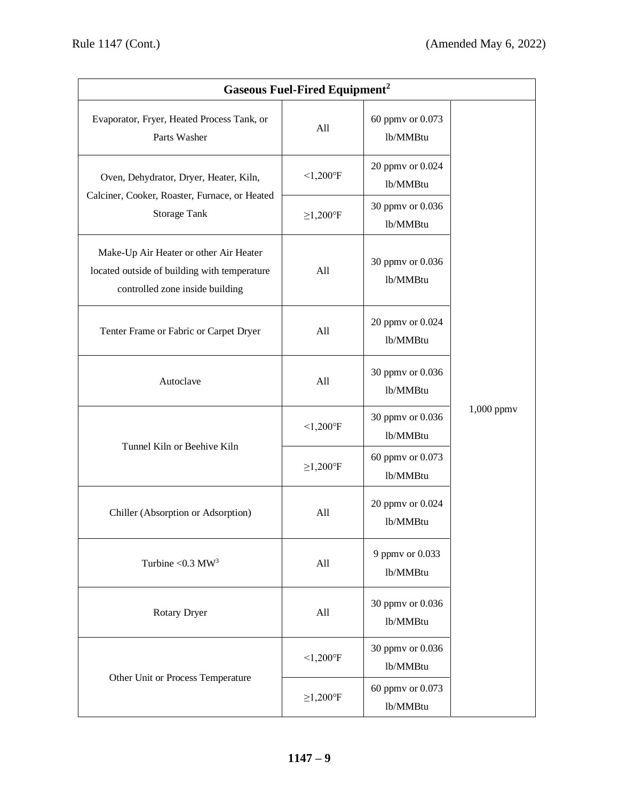| <b>Gaseous Fuel-Fired Equipment<sup>2</sup></b>                                                                           |                |                              |            |  |
|---------------------------------------------------------------------------------------------------------------------------|----------------|------------------------------|------------|--|
| Evaporator, Fryer, Heated Process Tank, or<br>Parts Washer                                                                | All            | 60 ppmv or 0.073<br>lb/MMBtu |            |  |
| Oven, Dehydrator, Dryer, Heater, Kiln,                                                                                    | $< 1,200$ °F   | 20 ppmv or 0.024<br>lb/MMBtu |            |  |
| Calciner, Cooker, Roaster, Furnace, or Heated<br><b>Storage Tank</b>                                                      | $\geq$ 1,200°F | 30 ppmv or 0.036<br>lb/MMBtu |            |  |
| Make-Up Air Heater or other Air Heater<br>located outside of building with temperature<br>controlled zone inside building | All            | 30 ppmv or 0.036<br>lb/MMBtu |            |  |
| Tenter Frame or Fabric or Carpet Dryer                                                                                    | All            | 20 ppmv or 0.024<br>lb/MMBtu |            |  |
| Autoclave                                                                                                                 | All            | 30 ppmv or 0.036<br>lb/MMBtu | 1,000 ppmv |  |
|                                                                                                                           | $< 1,200$ °F   | 30 ppmv or 0.036<br>lb/MMBtu |            |  |
| Tunnel Kiln or Beehive Kiln                                                                                               | $\geq$ 1,200°F | 60 ppmv or 0.073<br>lb/MMBtu |            |  |
| Chiller (Absorption or Adsorption)                                                                                        | All            | 20 ppmv or 0.024<br>lb/MMBtu |            |  |
| Turbine < $0.3$ MW <sup>3</sup>                                                                                           | All            | 9 ppmv or 0.033<br>lb/MMBtu  |            |  |
| Rotary Dryer                                                                                                              | All            | 30 ppmv or 0.036<br>lb/MMBtu |            |  |
|                                                                                                                           | $< 1,200$ °F   | 30 ppmv or 0.036<br>lb/MMBtu |            |  |
| Other Unit or Process Temperature                                                                                         | $\geq$ 1,200°F | 60 ppmv or 0.073<br>lb/MMBtu |            |  |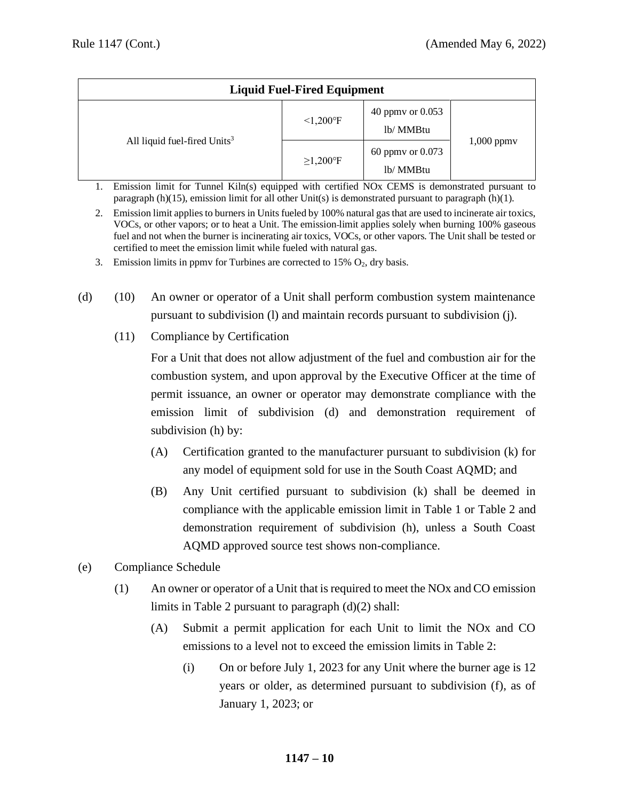| <b>Liquid Fuel-Fired Equipment</b>       |                          |                               |                 |  |
|------------------------------------------|--------------------------|-------------------------------|-----------------|--|
| All liquid fuel-fired Units <sup>3</sup> | $< 1,200$ <sup>o</sup> F | 40 ppmy or 0.053<br>lb/ MMBtu |                 |  |
|                                          | $\geq$ 1,200°F           | 60 ppmy or 0.073<br>lb/ MMBtu | $1,000$ ppm $v$ |  |

- 1. Emission limit for Tunnel Kiln(s) equipped with certified NOx CEMS is demonstrated pursuant to paragraph (h)(15), emission limit for all other Unit(s) is demonstrated pursuant to paragraph (h)(1).
- 2. Emission limit applies to burners in Units fueled by 100% natural gas that are used to incinerate air toxics, VOCs, or other vapors; or to heat a Unit. The emission limit applies solely when burning 100% gaseous fuel and not when the burner is incinerating air toxics, VOCs, or other vapors. The Unit shall be tested or certified to meet the emission limit while fueled with natural gas.
- 3. Emission limits in ppmv for Turbines are corrected to 15%  $O_2$ , dry basis.
- (d) (10) An owner or operator of a Unit shall perform combustion system maintenance pursuant to subdivision (l) and maintain records pursuant to subdivision (j).
	- (11) Compliance by Certification

For a Unit that does not allow adjustment of the fuel and combustion air for the combustion system, and upon approval by the Executive Officer at the time of permit issuance, an owner or operator may demonstrate compliance with the emission limit of subdivision (d) and demonstration requirement of subdivision (h) by:

- (A) Certification granted to the manufacturer pursuant to subdivision (k) for any model of equipment sold for use in the South Coast AQMD; and
- (B) Any Unit certified pursuant to subdivision (k) shall be deemed in compliance with the applicable emission limit in Table 1 or Table 2 and demonstration requirement of subdivision (h), unless a South Coast AQMD approved source test shows non-compliance.
- (e) Compliance Schedule
	- (1) An owner or operator of a Unit that is required to meet the NOx and CO emission limits in Table 2 pursuant to paragraph (d)(2) shall:
		- (A) Submit a permit application for each Unit to limit the NOx and CO emissions to a level not to exceed the emission limits in Table 2:
			- (i) On or before July 1, 2023 for any Unit where the burner age is 12 years or older, as determined pursuant to subdivision (f), as of January 1, 2023; or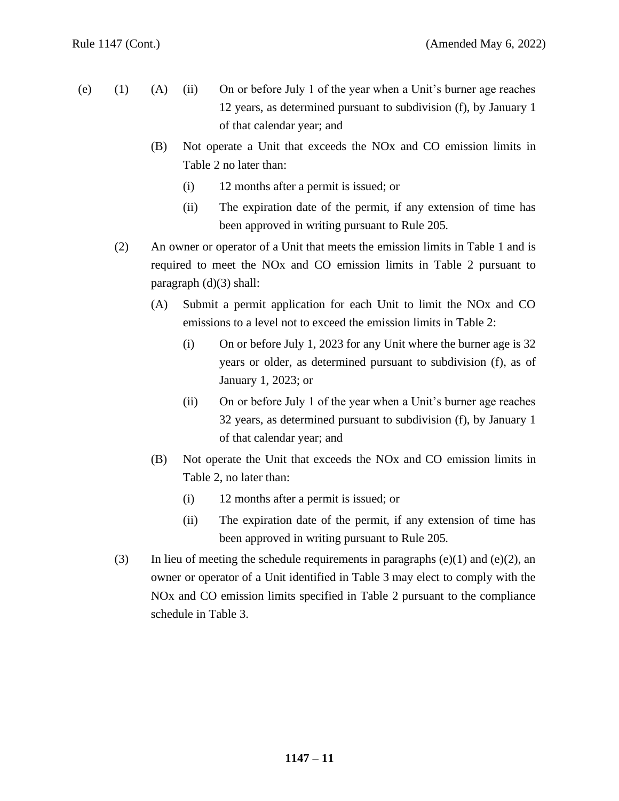- (e) (1) (A) (ii) On or before July 1 of the year when a Unit's burner age reaches 12 years, as determined pursuant to subdivision (f), by January 1 of that calendar year; and
	- (B) Not operate a Unit that exceeds the NOx and CO emission limits in Table 2 no later than:
		- (i) 12 months after a permit is issued; or
		- (ii) The expiration date of the permit, if any extension of time has been approved in writing pursuant to Rule 205.
	- (2) An owner or operator of a Unit that meets the emission limits in Table 1 and is required to meet the NOx and CO emission limits in Table 2 pursuant to paragraph (d)(3) shall:
		- (A) Submit a permit application for each Unit to limit the NOx and CO emissions to a level not to exceed the emission limits in Table 2:
			- (i) On or before July 1, 2023 for any Unit where the burner age is 32 years or older, as determined pursuant to subdivision (f), as of January 1, 2023; or
			- (ii) On or before July 1 of the year when a Unit's burner age reaches 32 years, as determined pursuant to subdivision (f), by January 1 of that calendar year; and
		- (B) Not operate the Unit that exceeds the NOx and CO emission limits in Table 2, no later than:
			- (i) 12 months after a permit is issued; or
			- (ii) The expiration date of the permit, if any extension of time has been approved in writing pursuant to Rule 205.
	- (3) In lieu of meeting the schedule requirements in paragraphs  $(e)(1)$  and  $(e)(2)$ , an owner or operator of a Unit identified in Table 3 may elect to comply with the NOx and CO emission limits specified in Table 2 pursuant to the compliance schedule in Table 3.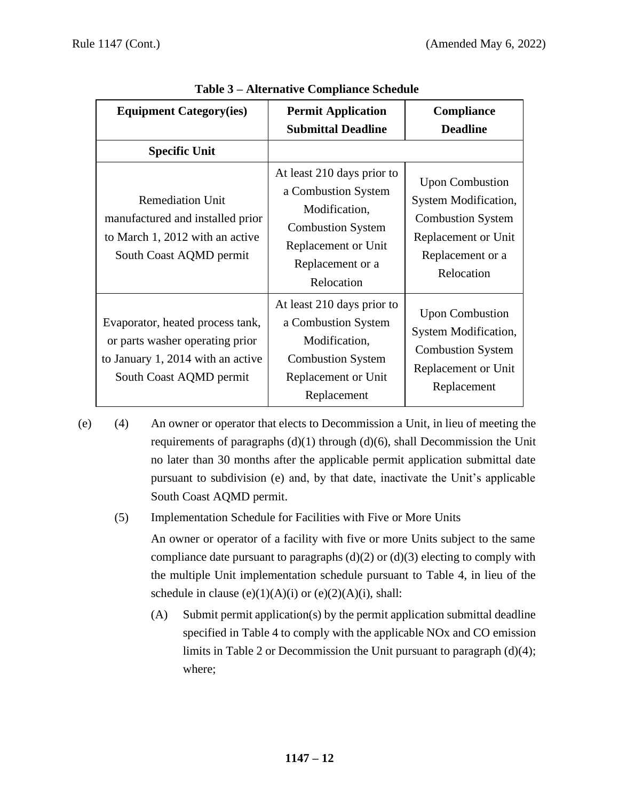| <b>Equipment Category(ies)</b>                                                                                                      | <b>Permit Application</b><br><b>Submittal Deadline</b>                                                                                                  | Compliance<br><b>Deadline</b>                                                                                                       |
|-------------------------------------------------------------------------------------------------------------------------------------|---------------------------------------------------------------------------------------------------------------------------------------------------------|-------------------------------------------------------------------------------------------------------------------------------------|
| <b>Specific Unit</b>                                                                                                                |                                                                                                                                                         |                                                                                                                                     |
| <b>Remediation Unit</b><br>manufactured and installed prior<br>to March 1, 2012 with an active<br>South Coast AQMD permit           | At least 210 days prior to<br>a Combustion System<br>Modification,<br><b>Combustion System</b><br>Replacement or Unit<br>Replacement or a<br>Relocation | <b>Upon Combustion</b><br>System Modification,<br><b>Combustion System</b><br>Replacement or Unit<br>Replacement or a<br>Relocation |
| Evaporator, heated process tank,<br>or parts washer operating prior<br>to January 1, 2014 with an active<br>South Coast AQMD permit | At least 210 days prior to<br>a Combustion System<br>Modification,<br><b>Combustion System</b><br>Replacement or Unit<br>Replacement                    | <b>Upon Combustion</b><br>System Modification,<br><b>Combustion System</b><br>Replacement or Unit<br>Replacement                    |

# **Table 3 – Alternative Compliance Schedule**

(e) (4) An owner or operator that elects to Decommission a Unit, in lieu of meeting the requirements of paragraphs  $(d)(1)$  through  $(d)(6)$ , shall Decommission the Unit no later than 30 months after the applicable permit application submittal date pursuant to subdivision (e) and, by that date, inactivate the Unit's applicable South Coast AQMD permit.

(5) Implementation Schedule for Facilities with Five or More Units

An owner or operator of a facility with five or more Units subject to the same compliance date pursuant to paragraphs  $(d)(2)$  or  $(d)(3)$  electing to comply with the multiple Unit implementation schedule pursuant to Table 4, in lieu of the schedule in clause  $(e)(1)(A)(i)$  or  $(e)(2)(A)(i)$ , shall:

(A) Submit permit application(s) by the permit application submittal deadline specified in Table 4 to comply with the applicable NOx and CO emission limits in Table 2 or Decommission the Unit pursuant to paragraph (d)(4); where;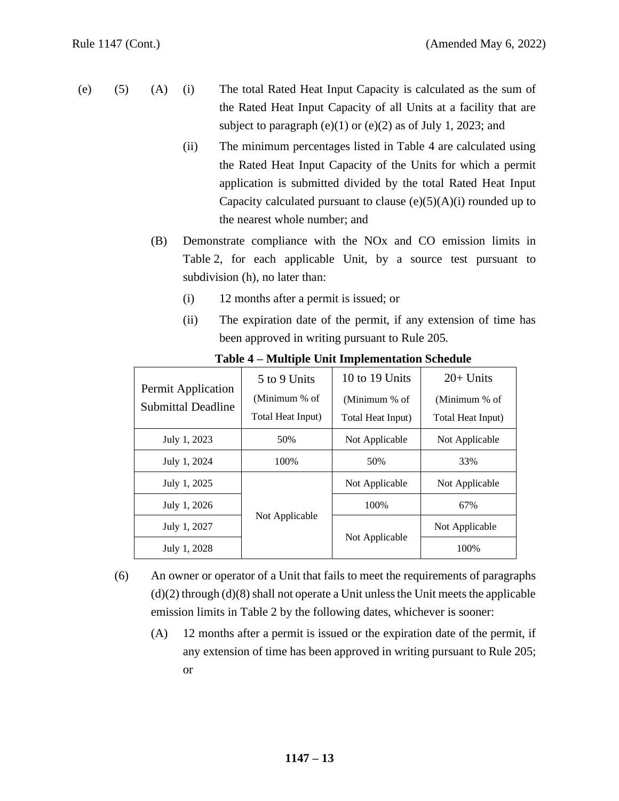- (e) (5) (A) (i) The total Rated Heat Input Capacity is calculated as the sum of the Rated Heat Input Capacity of all Units at a facility that are subject to paragraph  $(e)(1)$  or  $(e)(2)$  as of July 1, 2023; and
	- (ii) The minimum percentages listed in Table 4 are calculated using the Rated Heat Input Capacity of the Units for which a permit application is submitted divided by the total Rated Heat Input Capacity calculated pursuant to clause  $(e)(5)(A)(i)$  rounded up to the nearest whole number; and
	- (B) Demonstrate compliance with the NOx and CO emission limits in Table 2, for each applicable Unit, by a source test pursuant to subdivision (h), no later than:
		- (i) 12 months after a permit is issued; or
		- (ii) The expiration date of the permit, if any extension of time has been approved in writing pursuant to Rule 205.

| 5 to 9 Units                                    |                   | 10 to 19 Units    | $20+$ Units       |
|-------------------------------------------------|-------------------|-------------------|-------------------|
| Permit Application<br><b>Submittal Deadline</b> | (Minimum % of     | (Minimum % of     | (Minimum % of     |
|                                                 | Total Heat Input) | Total Heat Input) | Total Heat Input) |
| July 1, 2023                                    | 50%               | Not Applicable    | Not Applicable    |
| July 1, 2024                                    | 100%              | 50%               | 33%               |
| July 1, 2025                                    |                   | Not Applicable    | Not Applicable    |
| July 1, 2026                                    |                   | 100%              | 67%               |
| July 1, 2027                                    | Not Applicable    |                   | Not Applicable    |
| July 1, 2028                                    |                   | Not Applicable    | 100%              |

**Table 4 – Multiple Unit Implementation Schedule**

- (6) An owner or operator of a Unit that fails to meet the requirements of paragraphs  $(d)(2)$  through  $(d)(8)$  shall not operate a Unit unless the Unit meets the applicable emission limits in Table 2 by the following dates, whichever is sooner:
	- (A) 12 months after a permit is issued or the expiration date of the permit, if any extension of time has been approved in writing pursuant to Rule 205; or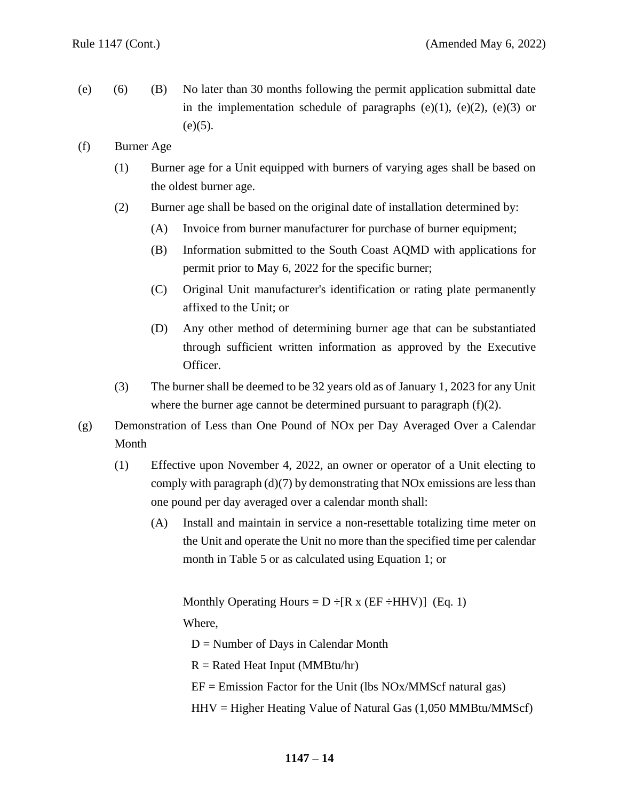- (e) (6) (B) No later than 30 months following the permit application submittal date in the implementation schedule of paragraphs  $(e)(1)$ ,  $(e)(2)$ ,  $(e)(3)$  or  $(e)(5)$ .
- (f) Burner Age
	- (1) Burner age for a Unit equipped with burners of varying ages shall be based on the oldest burner age.
	- (2) Burner age shall be based on the original date of installation determined by:
		- (A) Invoice from burner manufacturer for purchase of burner equipment;
		- (B) Information submitted to the South Coast AQMD with applications for permit prior to May 6, 2022 for the specific burner;
		- (C) Original Unit manufacturer's identification or rating plate permanently affixed to the Unit; or
		- (D) Any other method of determining burner age that can be substantiated through sufficient written information as approved by the Executive Officer.
	- (3) The burner shall be deemed to be 32 years old as of January 1, 2023 for any Unit where the burner age cannot be determined pursuant to paragraph (f)(2).
- (g) Demonstration of Less than One Pound of NOx per Day Averaged Over a Calendar Month
	- (1) Effective upon November 4, 2022*,* an owner or operator of a Unit electing to comply with paragraph (d)(7) by demonstrating that NOx emissions are less than one pound per day averaged over a calendar month shall:
		- (A) Install and maintain in service a non-resettable totalizing time meter on the Unit and operate the Unit no more than the specified time per calendar month in Table 5 or as calculated using Equation 1; or

Monthly Operating Hours =  $D \div [R \times (EF \div HHV)]$  (Eq. 1)

Where,

 $D =$  Number of Days in Calendar Month

 $R =$  Rated Heat Input (MMBtu/hr)

 $EF = Emission Factor for the Unit (lbs NOx/MMScf natural gas)$ 

 $HHV = Higher Heating Value of Natural Gas (1,050 MMBtu/MMScf)$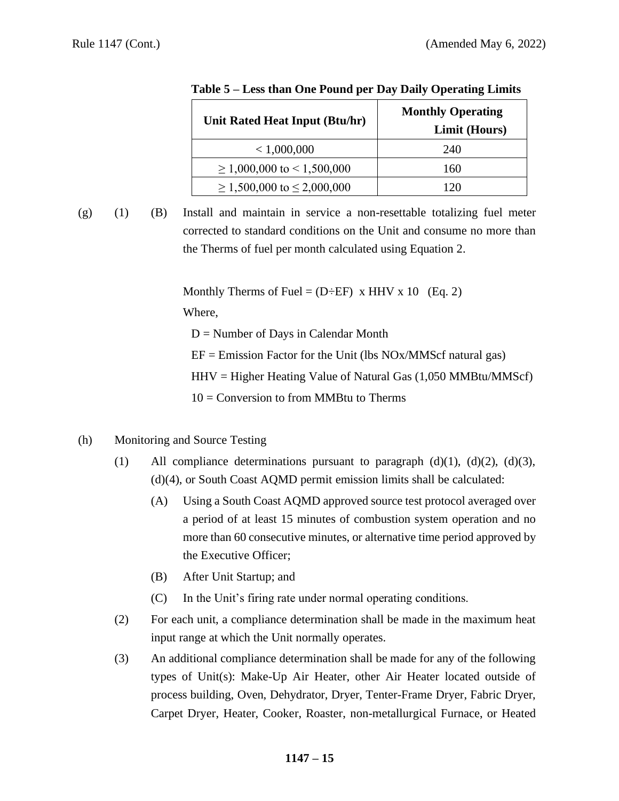| Unit Rated Heat Input (Btu/hr)       | <b>Monthly Operating</b> |  |  |
|--------------------------------------|--------------------------|--|--|
|                                      | Limit (Hours)            |  |  |
| < 1,000,000                          | 240                      |  |  |
| $\geq 1,000,000$ to $\leq 1,500,000$ | 160                      |  |  |
| $\geq 1,500,000$ to $\leq 2,000,000$ |                          |  |  |

|  |  | Table 5 – Less than One Pound per Day Daily Operating Limits |
|--|--|--------------------------------------------------------------|
|  |  |                                                              |

- 
- (g) (1) (B) Install and maintain in service a non-resettable totalizing fuel meter corrected to standard conditions on the Unit and consume no more than the Therms of fuel per month calculated using Equation 2.

Monthly Therms of Fuel =  $(D \div EF)$  x HHV x 10 (Eq. 2) Where,

 $D =$  Number of Days in Calendar Month

- $EF = Emission Factor for the Unit (lbs NOx/MMScf natural gas)$
- $HHV = Higher Heating Value of Natural Gas (1,050 MMBtu/MMScf)$

 $10 =$  Conversion to from MMBtu to Therms

- (h) Monitoring and Source Testing
	- (1) All compliance determinations pursuant to paragraph  $(d)(1)$ ,  $(d)(2)$ ,  $(d)(3)$ , (d)(4), or South Coast AQMD permit emission limits shall be calculated:
		- (A) Using a South Coast AQMD approved source test protocol averaged over a period of at least 15 minutes of combustion system operation and no more than 60 consecutive minutes, or alternative time period approved by the Executive Officer;
		- (B) After Unit Startup; and
		- (C) In the Unit's firing rate under normal operating conditions.
	- (2) For each unit, a compliance determination shall be made in the maximum heat input range at which the Unit normally operates.
	- (3) An additional compliance determination shall be made for any of the following types of Unit(s): Make-Up Air Heater, other Air Heater located outside of process building, Oven, Dehydrator, Dryer, Tenter-Frame Dryer, Fabric Dryer, Carpet Dryer, Heater, Cooker, Roaster, non-metallurgical Furnace, or Heated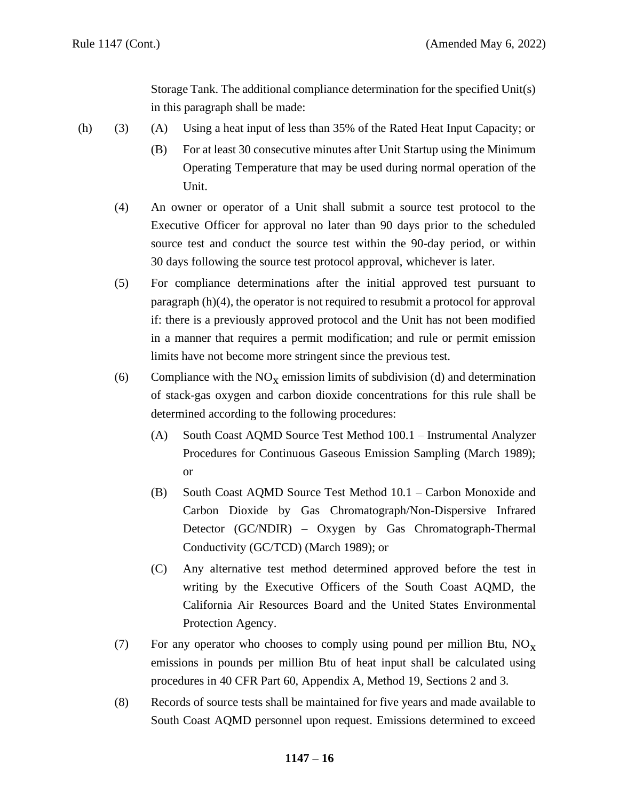Storage Tank. The additional compliance determination for the specified Unit(s) in this paragraph shall be made:

- (h) (3) (A) Using a heat input of less than 35% of the Rated Heat Input Capacity; or
	- (B) For at least 30 consecutive minutes after Unit Startup using the Minimum Operating Temperature that may be used during normal operation of the Unit.
	- (4) An owner or operator of a Unit shall submit a source test protocol to the Executive Officer for approval no later than 90 days prior to the scheduled source test and conduct the source test within the 90-day period, or within 30 days following the source test protocol approval, whichever is later.
	- (5) For compliance determinations after the initial approved test pursuant to paragraph (h)(4), the operator is not required to resubmit a protocol for approval if: there is a previously approved protocol and the Unit has not been modified in a manner that requires a permit modification; and rule or permit emission limits have not become more stringent since the previous test.
	- (6) Compliance with the  $NO<sub>x</sub>$  emission limits of subdivision (d) and determination of stack-gas oxygen and carbon dioxide concentrations for this rule shall be determined according to the following procedures:
		- (A) South Coast AQMD Source Test Method 100.1 Instrumental Analyzer Procedures for Continuous Gaseous Emission Sampling (March 1989); or
		- (B) South Coast AQMD Source Test Method 10.1 Carbon Monoxide and Carbon Dioxide by Gas Chromatograph/Non-Dispersive Infrared Detector (GC/NDIR) – Oxygen by Gas Chromatograph-Thermal Conductivity (GC/TCD) (March 1989); or
		- (C) Any alternative test method determined approved before the test in writing by the Executive Officers of the South Coast AQMD, the California Air Resources Board and the United States Environmental Protection Agency.
	- (7) For any operator who chooses to comply using pound per million Btu,  $NO<sub>x</sub>$ emissions in pounds per million Btu of heat input shall be calculated using procedures in 40 CFR Part 60, Appendix A, Method 19, Sections 2 and 3.
	- (8) Records of source tests shall be maintained for five years and made available to South Coast AQMD personnel upon request. Emissions determined to exceed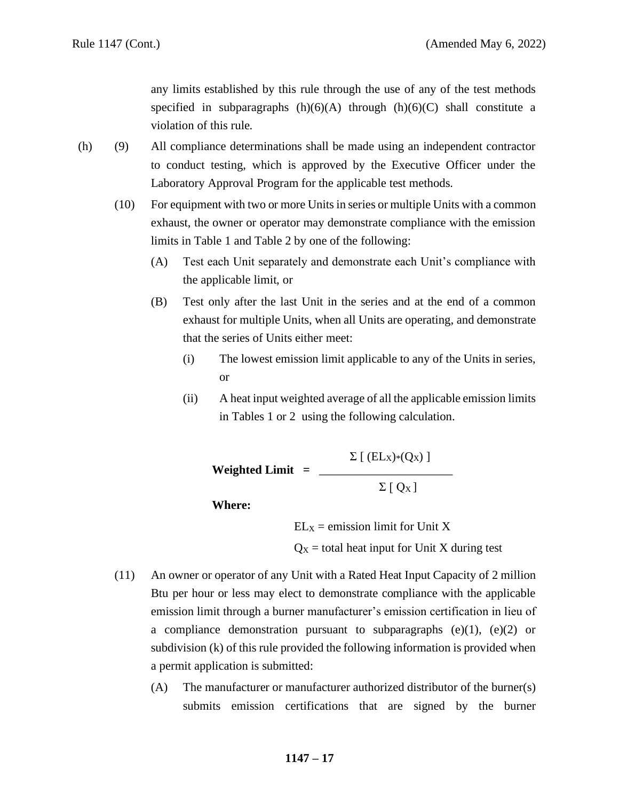any limits established by this rule through the use of any of the test methods specified in subparagraphs  $(h)(6)(A)$  through  $(h)(6)(C)$  shall constitute a violation of this rule.

- (h) (9) All compliance determinations shall be made using an independent contractor to conduct testing, which is approved by the Executive Officer under the Laboratory Approval Program for the applicable test methods.
	- (10) For equipment with two or more Units in series or multiple Units with a common exhaust, the owner or operator may demonstrate compliance with the emission limits in Table 1 and Table 2 by one of the following:
		- (A) Test each Unit separately and demonstrate each Unit's compliance with the applicable limit, or
		- (B) Test only after the last Unit in the series and at the end of a common exhaust for multiple Units, when all Units are operating, and demonstrate that the series of Units either meet:
			- (i) The lowest emission limit applicable to any of the Units in series, or
			- (ii) A heat input weighted average of all the applicable emission limits in Tables 1 or 2 using the following calculation.

 $\Sigma$  [ (EL<sub>X</sub>)\*(Q<sub>X</sub>) ] **Weighted Limit =** \_\_\_\_\_\_\_\_\_\_\_\_\_\_\_\_\_\_\_\_\_\_  $\Sigma$  [ Q<sub>X</sub>]

**Where:**

 $EL<sub>X</sub>$  = emission limit for Unit X

 $Q_X$  = total heat input for Unit X during test

- (11) An owner or operator of any Unit with a Rated Heat Input Capacity of 2 million Btu per hour or less may elect to demonstrate compliance with the applicable emission limit through a burner manufacturer's emission certification in lieu of a compliance demonstration pursuant to subparagraphs  $(e)(1)$ ,  $(e)(2)$  or subdivision (k) of this rule provided the following information is provided when a permit application is submitted:
	- (A) The manufacturer or manufacturer authorized distributor of the burner(s) submits emission certifications that are signed by the burner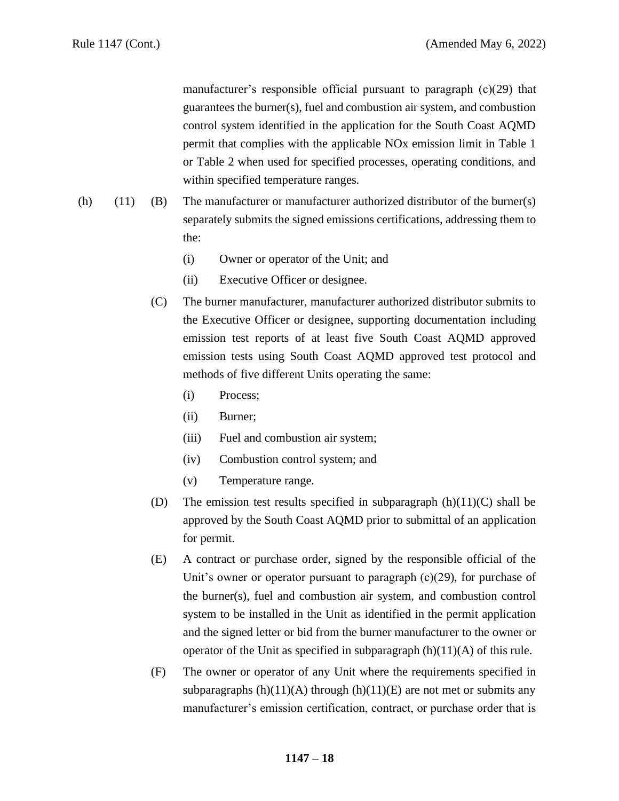manufacturer's responsible official pursuant to paragraph (c)(29) that guarantees the burner(s), fuel and combustion air system, and combustion control system identified in the application for the South Coast AQMD permit that complies with the applicable NOx emission limit in Table 1 or Table 2 when used for specified processes, operating conditions, and within specified temperature ranges.

- (h) (11) (B) The manufacturer or manufacturer authorized distributor of the burner(s) separately submits the signed emissions certifications, addressing them to the:
	- (i) Owner or operator of the Unit; and
	- (ii) Executive Officer or designee.
	- (C) The burner manufacturer, manufacturer authorized distributor submits to the Executive Officer or designee, supporting documentation including emission test reports of at least five South Coast AQMD approved emission tests using South Coast AQMD approved test protocol and methods of five different Units operating the same:
		- (i) Process;
		- (ii) Burner;
		- (iii) Fuel and combustion air system;
		- (iv) Combustion control system; and
		- (v) Temperature range.
	- (D) The emission test results specified in subparagraph  $(h)(11)(C)$  shall be approved by the South Coast AQMD prior to submittal of an application for permit.
	- (E) A contract or purchase order, signed by the responsible official of the Unit's owner or operator pursuant to paragraph  $(c)(29)$ , for purchase of the burner(s), fuel and combustion air system, and combustion control system to be installed in the Unit as identified in the permit application and the signed letter or bid from the burner manufacturer to the owner or operator of the Unit as specified in subparagraph  $(h)(11)(A)$  of this rule.
	- (F) The owner or operator of any Unit where the requirements specified in subparagraphs  $(h)(11)(A)$  through  $(h)(11)(E)$  are not met or submits any manufacturer's emission certification, contract, or purchase order that is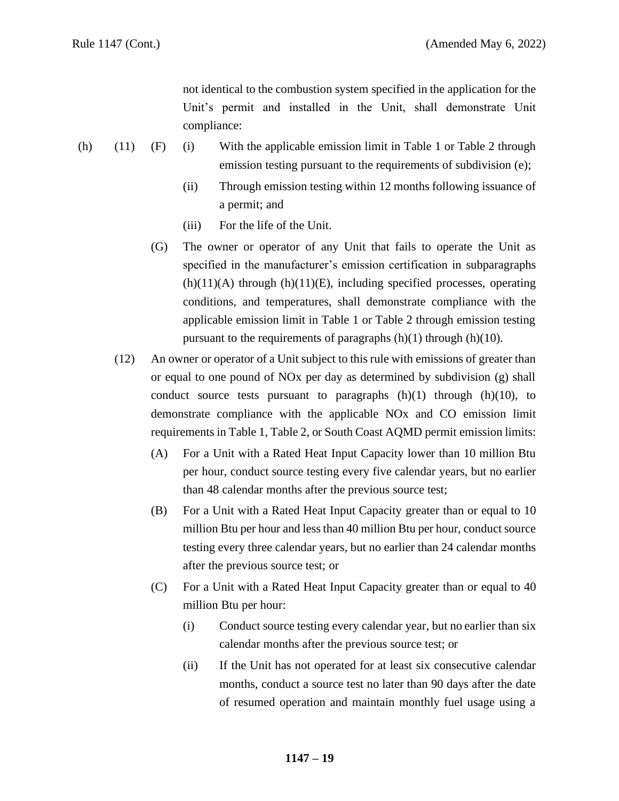not identical to the combustion system specified in the application for the Unit's permit and installed in the Unit, shall demonstrate Unit compliance:

- (h) (11) (F) (i) With the applicable emission limit in Table 1 or Table 2 through emission testing pursuant to the requirements of subdivision (e);
	- (ii) Through emission testing within 12 months following issuance of a permit; and
	- (iii) For the life of the Unit.
	- (G) The owner or operator of any Unit that fails to operate the Unit as specified in the manufacturer's emission certification in subparagraphs  $(h)(11)(A)$  through  $(h)(11)(E)$ , including specified processes, operating conditions, and temperatures, shall demonstrate compliance with the applicable emission limit in Table 1 or Table 2 through emission testing pursuant to the requirements of paragraphs  $(h)(1)$  through  $(h)(10)$ .
	- (12) An owner or operator of a Unit subject to this rule with emissions of greater than or equal to one pound of NOx per day as determined by subdivision (g) shall conduct source tests pursuant to paragraphs  $(h)(1)$  through  $(h)(10)$ , to demonstrate compliance with the applicable NOx and CO emission limit requirements in Table 1, Table 2, or South Coast AQMD permit emission limits:
		- (A) For a Unit with a Rated Heat Input Capacity lower than 10 million Btu per hour, conduct source testing every five calendar years, but no earlier than 48 calendar months after the previous source test;
		- (B) For a Unit with a Rated Heat Input Capacity greater than or equal to 10 million Btu per hour and less than 40 million Btu per hour, conduct source testing every three calendar years, but no earlier than 24 calendar months after the previous source test; or
		- (C) For a Unit with a Rated Heat Input Capacity greater than or equal to 40 million Btu per hour:
			- (i) Conduct source testing every calendar year, but no earlier than six calendar months after the previous source test; or
			- (ii) If the Unit has not operated for at least six consecutive calendar months, conduct a source test no later than 90 days after the date of resumed operation and maintain monthly fuel usage using a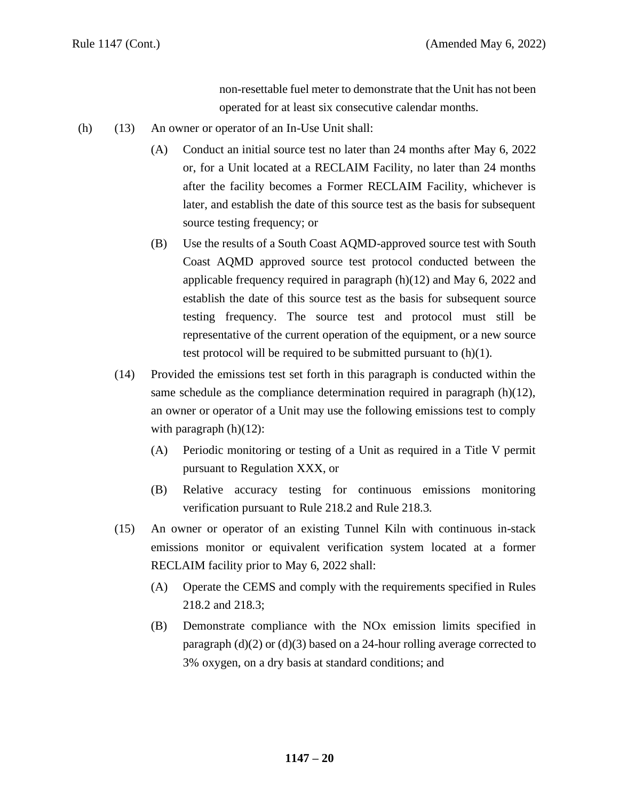non-resettable fuel meter to demonstrate that the Unit has not been operated for at least six consecutive calendar months.

- (h) (13) An owner or operator of an In-Use Unit shall:
	- (A) Conduct an initial source test no later than 24 months after May 6, 2022 or, for a Unit located at a RECLAIM Facility, no later than 24 months after the facility becomes a Former RECLAIM Facility, whichever is later, and establish the date of this source test as the basis for subsequent source testing frequency; or
	- (B) Use the results of a South Coast AQMD-approved source test with South Coast AQMD approved source test protocol conducted between the applicable frequency required in paragraph (h)(12) and May 6, 2022 and establish the date of this source test as the basis for subsequent source testing frequency. The source test and protocol must still be representative of the current operation of the equipment, or a new source test protocol will be required to be submitted pursuant to  $(h)(1)$ .
	- (14) Provided the emissions test set forth in this paragraph is conducted within the same schedule as the compliance determination required in paragraph  $(h)(12)$ , an owner or operator of a Unit may use the following emissions test to comply with paragraph  $(h)(12)$ :
		- (A) Periodic monitoring or testing of a Unit as required in a Title V permit pursuant to Regulation XXX, or
		- (B) Relative accuracy testing for continuous emissions monitoring verification pursuant to Rule 218.2 and Rule 218.3.
	- (15) An owner or operator of an existing Tunnel Kiln with continuous in-stack emissions monitor or equivalent verification system located at a former RECLAIM facility prior to May 6, 2022 shall:
		- (A) Operate the CEMS and comply with the requirements specified in Rules 218.2 and 218.3;
		- (B) Demonstrate compliance with the NOx emission limits specified in paragraph  $(d)(2)$  or  $(d)(3)$  based on a 24-hour rolling average corrected to 3% oxygen, on a dry basis at standard conditions; and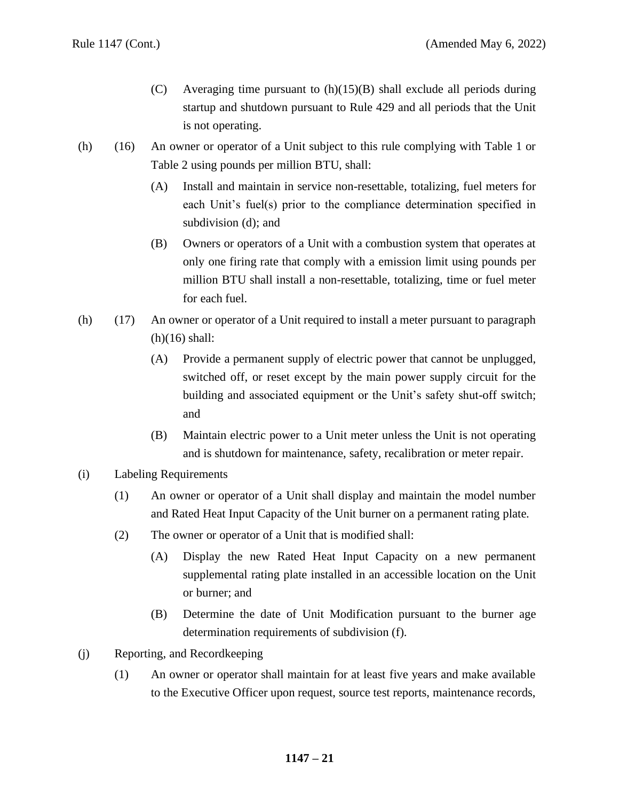- (C) Averaging time pursuant to  $(h)(15)(B)$  shall exclude all periods during startup and shutdown pursuant to Rule 429 and all periods that the Unit is not operating.
- (h) (16) An owner or operator of a Unit subject to this rule complying with Table 1 or Table 2 using pounds per million BTU, shall:
	- (A) Install and maintain in service non-resettable, totalizing, fuel meters for each Unit's fuel(s) prior to the compliance determination specified in subdivision (d); and
	- (B) Owners or operators of a Unit with a combustion system that operates at only one firing rate that comply with a emission limit using pounds per million BTU shall install a non-resettable, totalizing, time or fuel meter for each fuel.
- (h) (17) An owner or operator of a Unit required to install a meter pursuant to paragraph  $(h)(16)$  shall:
	- (A) Provide a permanent supply of electric power that cannot be unplugged, switched off, or reset except by the main power supply circuit for the building and associated equipment or the Unit's safety shut-off switch; and
	- (B) Maintain electric power to a Unit meter unless the Unit is not operating and is shutdown for maintenance, safety, recalibration or meter repair.
- (i) Labeling Requirements
	- (1) An owner or operator of a Unit shall display and maintain the model number and Rated Heat Input Capacity of the Unit burner on a permanent rating plate.
	- (2) The owner or operator of a Unit that is modified shall:
		- (A) Display the new Rated Heat Input Capacity on a new permanent supplemental rating plate installed in an accessible location on the Unit or burner; and
		- (B) Determine the date of Unit Modification pursuant to the burner age determination requirements of subdivision (f).
- (j) Reporting, and Recordkeeping
	- (1) An owner or operator shall maintain for at least five years and make available to the Executive Officer upon request, source test reports, maintenance records,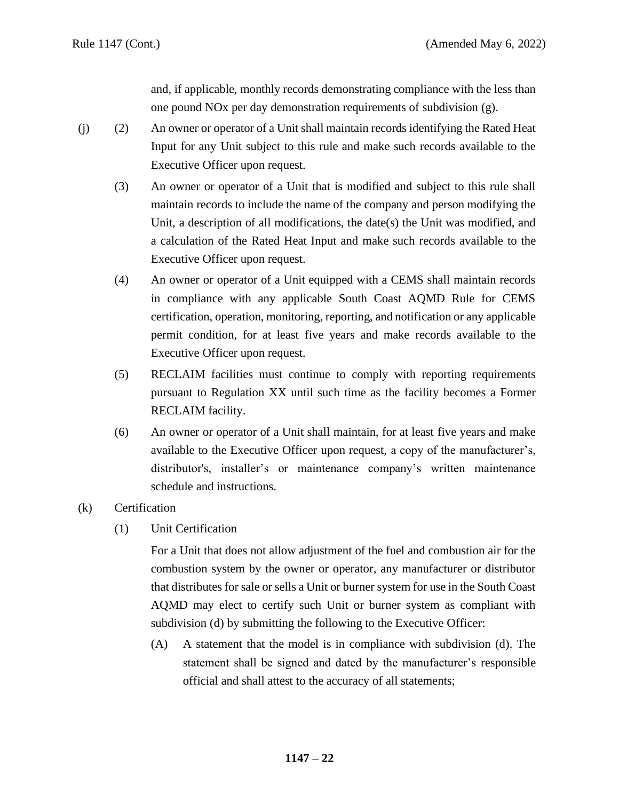and, if applicable, monthly records demonstrating compliance with the less than one pound NOx per day demonstration requirements of subdivision (g).

- (j) (2) An owner or operator of a Unit shall maintain records identifying the Rated Heat Input for any Unit subject to this rule and make such records available to the Executive Officer upon request.
	- (3) An owner or operator of a Unit that is modified and subject to this rule shall maintain records to include the name of the company and person modifying the Unit, a description of all modifications, the date(s) the Unit was modified, and a calculation of the Rated Heat Input and make such records available to the Executive Officer upon request.
	- (4) An owner or operator of a Unit equipped with a CEMS shall maintain records in compliance with any applicable South Coast AQMD Rule for CEMS certification, operation, monitoring, reporting, and notification or any applicable permit condition, for at least five years and make records available to the Executive Officer upon request.
	- (5) RECLAIM facilities must continue to comply with reporting requirements pursuant to Regulation XX until such time as the facility becomes a Former RECLAIM facility.
	- (6) An owner or operator of a Unit shall maintain, for at least five years and make available to the Executive Officer upon request, a copy of the manufacturer's, distributor's, installer's or maintenance company's written maintenance schedule and instructions.
- (k) Certification
	- (1) Unit Certification

For a Unit that does not allow adjustment of the fuel and combustion air for the combustion system by the owner or operator, any manufacturer or distributor that distributes for sale or sells a Unit or burner system for use in the South Coast AQMD may elect to certify such Unit or burner system as compliant with subdivision (d) by submitting the following to the Executive Officer:

(A) A statement that the model is in compliance with subdivision (d). The statement shall be signed and dated by the manufacturer's responsible official and shall attest to the accuracy of all statements;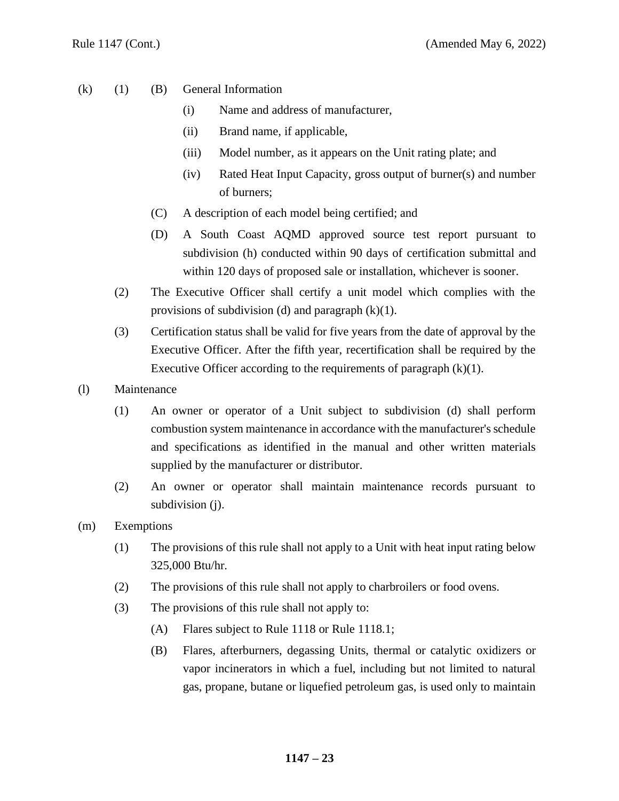- (k) (1) (B) General Information
	- (i) Name and address of manufacturer,
	- (ii) Brand name, if applicable,
	- (iii) Model number, as it appears on the Unit rating plate; and
	- (iv) Rated Heat Input Capacity, gross output of burner(s) and number of burners;
	- (C) A description of each model being certified; and
	- (D) A South Coast AQMD approved source test report pursuant to subdivision (h) conducted within 90 days of certification submittal and within 120 days of proposed sale or installation, whichever is sooner.
	- (2) The Executive Officer shall certify a unit model which complies with the provisions of subdivision (d) and paragraph  $(k)(1)$ .
	- (3) Certification status shall be valid for five years from the date of approval by the Executive Officer. After the fifth year, recertification shall be required by the Executive Officer according to the requirements of paragraph  $(k)(1)$ .
- (l) Maintenance
	- (1) An owner or operator of a Unit subject to subdivision (d) shall perform combustion system maintenance in accordance with the manufacturer's schedule and specifications as identified in the manual and other written materials supplied by the manufacturer or distributor.
	- (2) An owner or operator shall maintain maintenance records pursuant to subdivision (j).
- (m) Exemptions
	- (1) The provisions of this rule shall not apply to a Unit with heat input rating below 325,000 Btu/hr.
	- (2) The provisions of this rule shall not apply to charbroilers or food ovens.
	- (3) The provisions of this rule shall not apply to:
		- (A) Flares subject to Rule 1118 or Rule 1118.1;
		- (B) Flares, afterburners, degassing Units, thermal or catalytic oxidizers or vapor incinerators in which a fuel, including but not limited to natural gas, propane, butane or liquefied petroleum gas, is used only to maintain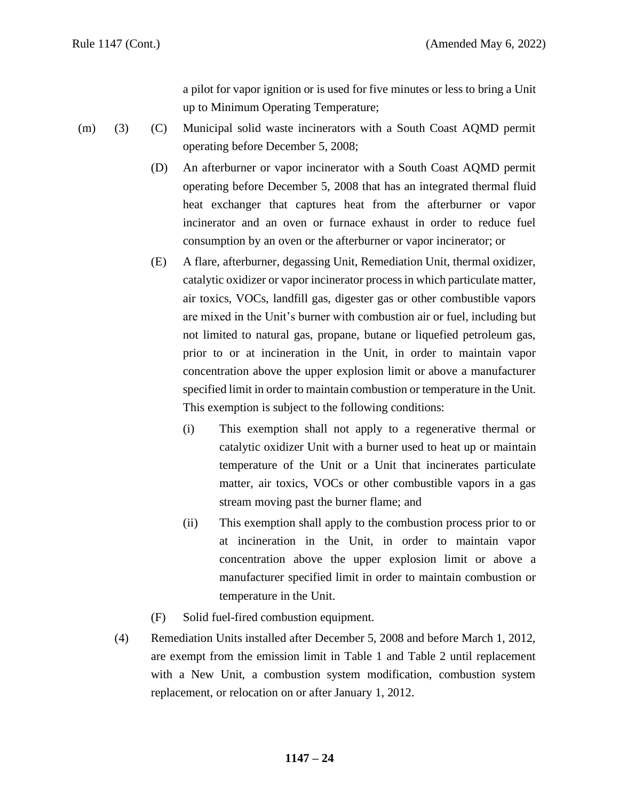a pilot for vapor ignition or is used for five minutes or less to bring a Unit up to Minimum Operating Temperature;

- (m) (3) (C) Municipal solid waste incinerators with a South Coast AQMD permit operating before December 5, 2008;
	- (D) An afterburner or vapor incinerator with a South Coast AQMD permit operating before December 5, 2008 that has an integrated thermal fluid heat exchanger that captures heat from the afterburner or vapor incinerator and an oven or furnace exhaust in order to reduce fuel consumption by an oven or the afterburner or vapor incinerator; or
	- (E) A flare, afterburner, degassing Unit, Remediation Unit, thermal oxidizer, catalytic oxidizer or vapor incinerator process in which particulate matter, air toxics, VOCs, landfill gas, digester gas or other combustible vapors are mixed in the Unit's burner with combustion air or fuel, including but not limited to natural gas, propane, butane or liquefied petroleum gas, prior to or at incineration in the Unit, in order to maintain vapor concentration above the upper explosion limit or above a manufacturer specified limit in order to maintain combustion or temperature in the Unit. This exemption is subject to the following conditions:
		- (i) This exemption shall not apply to a regenerative thermal or catalytic oxidizer Unit with a burner used to heat up or maintain temperature of the Unit or a Unit that incinerates particulate matter, air toxics, VOCs or other combustible vapors in a gas stream moving past the burner flame; and
		- (ii) This exemption shall apply to the combustion process prior to or at incineration in the Unit, in order to maintain vapor concentration above the upper explosion limit or above a manufacturer specified limit in order to maintain combustion or temperature in the Unit.
	- (F) Solid fuel-fired combustion equipment.
	- (4) Remediation Units installed after December 5, 2008 and before March 1, 2012, are exempt from the emission limit in Table 1 and Table 2 until replacement with a New Unit, a combustion system modification, combustion system replacement, or relocation on or after January 1, 2012.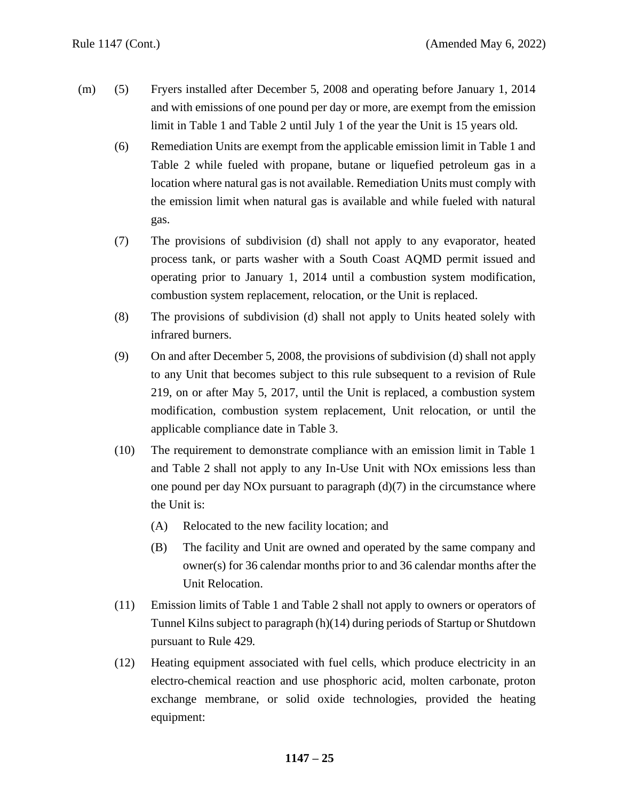- (m) (5) Fryers installed after December 5, 2008 and operating before January 1, 2014 and with emissions of one pound per day or more, are exempt from the emission limit in Table 1 and Table 2 until July 1 of the year the Unit is 15 years old.
	- (6) Remediation Units are exempt from the applicable emission limit in Table 1 and Table 2 while fueled with propane, butane or liquefied petroleum gas in a location where natural gas is not available. Remediation Units must comply with the emission limit when natural gas is available and while fueled with natural gas.
	- (7) The provisions of subdivision (d) shall not apply to any evaporator, heated process tank, or parts washer with a South Coast AQMD permit issued and operating prior to January 1, 2014 until a combustion system modification, combustion system replacement, relocation, or the Unit is replaced.
	- (8) The provisions of subdivision (d) shall not apply to Units heated solely with infrared burners.
	- (9) On and after December 5, 2008, the provisions of subdivision (d) shall not apply to any Unit that becomes subject to this rule subsequent to a revision of Rule 219, on or after May 5, 2017, until the Unit is replaced, a combustion system modification, combustion system replacement, Unit relocation, or until the applicable compliance date in Table 3.
	- (10) The requirement to demonstrate compliance with an emission limit in Table 1 and Table 2 shall not apply to any In-Use Unit with NOx emissions less than one pound per day NOx pursuant to paragraph  $(d)(7)$  in the circumstance where the Unit is:
		- (A) Relocated to the new facility location; and
		- (B) The facility and Unit are owned and operated by the same company and owner(s) for 36 calendar months prior to and 36 calendar months after the Unit Relocation.
	- (11) Emission limits of Table 1 and Table 2 shall not apply to owners or operators of Tunnel Kilns subject to paragraph (h)(14) during periods of Startup or Shutdown pursuant to Rule 429.
	- (12) Heating equipment associated with fuel cells, which produce electricity in an electro-chemical reaction and use phosphoric acid, molten carbonate, proton exchange membrane, or solid oxide technologies, provided the heating equipment: